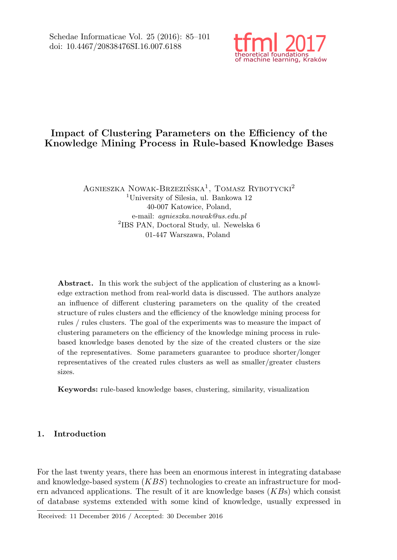

# Impact of Clustering Parameters on the Efficiency of the Knowledge Mining Process in Rule-based Knowledge Bases

AGNIESZKA NOWAK-BRZEZIŃSKA<sup>1</sup>, TOMASZ RYBOTYCKI<sup>2</sup> <sup>1</sup>University of Silesia, ul. Bankowa 12 40-007 Katowice, Poland, e-mail: agnieszka.nowak@us.edu.pl 2 IBS PAN, Doctoral Study, ul. Newelska 6 01-447 Warszawa, Poland

Abstract. In this work the subject of the application of clustering as a knowledge extraction method from real-world data is discussed. The authors analyze an influence of different clustering parameters on the quality of the created structure of rules clusters and the efficiency of the knowledge mining process for rules / rules clusters. The goal of the experiments was to measure the impact of clustering parameters on the efficiency of the knowledge mining process in rulebased knowledge bases denoted by the size of the created clusters or the size of the representatives. Some parameters guarantee to produce shorter/longer representatives of the created rules clusters as well as smaller/greater clusters sizes.

Keywords: rule-based knowledge bases, clustering, similarity, visualization

## 1. Introduction

For the last twenty years, there has been an enormous interest in integrating database and knowledge-based system  $(KBS)$  technologies to create an infrastructure for modern advanced applications. The result of it are knowledge bases  $(KB<sub>S</sub>)$  which consist of database systems extended with some kind of knowledge, usually expressed in

Received: 11 December 2016 / Accepted: 30 December 2016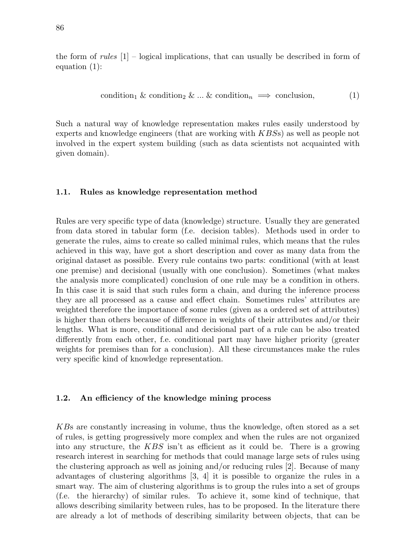the form of rules  $[1]$  – logical implications, that can usually be described in form of equation (1):

condition<sup>1</sup> & condition<sup>2</sup> & ... & condition<sup>n</sup> =⇒ conclusion, (1)

Such a natural way of knowledge representation makes rules easily understood by experts and knowledge engineers (that are working with KBSs) as well as people not involved in the expert system building (such as data scientists not acquainted with given domain).

#### 1.1. Rules as knowledge representation method

Rules are very specific type of data (knowledge) structure. Usually they are generated from data stored in tabular form (f.e. decision tables). Methods used in order to generate the rules, aims to create so called minimal rules, which means that the rules achieved in this way, have got a short description and cover as many data from the original dataset as possible. Every rule contains two parts: conditional (with at least one premise) and decisional (usually with one conclusion). Sometimes (what makes the analysis more complicated) conclusion of one rule may be a condition in others. In this case it is said that such rules form a chain, and during the inference process they are all processed as a cause and effect chain. Sometimes rules' attributes are weighted therefore the importance of some rules (given as a ordered set of attributes) is higher than others because of difference in weights of their attributes and/or their lengths. What is more, conditional and decisional part of a rule can be also treated differently from each other, f.e. conditional part may have higher priority (greater weights for premises than for a conclusion). All these circumstances make the rules very specific kind of knowledge representation.

## 1.2. An efficiency of the knowledge mining process

KBs are constantly increasing in volume, thus the knowledge, often stored as a set of rules, is getting progressively more complex and when the rules are not organized into any structure, the KBS isn't as efficient as it could be. There is a growing research interest in searching for methods that could manage large sets of rules using the clustering approach as well as joining and/or reducing rules [2]. Because of many advantages of clustering algorithms [3, 4] it is possible to organize the rules in a smart way. The aim of clustering algorithms is to group the rules into a set of groups (f.e. the hierarchy) of similar rules. To achieve it, some kind of technique, that allows describing similarity between rules, has to be proposed. In the literature there are already a lot of methods of describing similarity between objects, that can be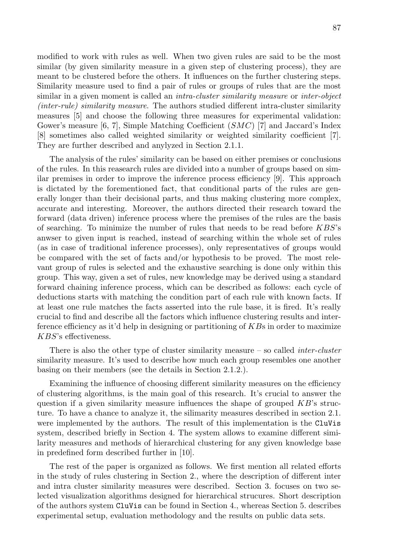modified to work with rules as well. When two given rules are said to be the most similar (by given similarity measure in a given step of clustering process), they are meant to be clustered before the others. It influences on the further clustering steps. Similarity measure used to find a pair of rules or groups of rules that are the most similar in a given moment is called an *intra-cluster similarity measure* or *inter-object* (inter-rule) similarity measure. The authors studied different intra-cluster similarity measures [5] and choose the following three measures for experimental validation: Gower's measure [6, 7], Simple Matching Coefficient  $(SMC)$  [7] and Jaccard's Index [8] sometimes also called weighted similarity or weighted similarity coefficient [7]. They are further described and anylyzed in Section 2.1.1.

The analysis of the rules' similarity can be based on either premises or conclusions of the rules. In this reasearch rules are divided into a number of groups based on similar premises in order to improve the inference process efficiency [9]. This approach is dictated by the forementioned fact, that conditional parts of the rules are generally longer than their decisional parts, and thus making clustering more complex, accurate and interesting. Moreover, the authors directed their research toward the forward (data driven) inference process where the premises of the rules are the basis of searching. To minimize the number of rules that needs to be read before KBS's anwser to given input is reached, instead of searching within the whole set of rules (as in case of traditional inference processes), only representatives of groups would be compared with the set of facts and/or hypothesis to be proved. The most relevant group of rules is selected and the exhaustive searching is done only within this group. This way, given a set of rules, new knowledge may be derived using a standard forward chaining inference process, which can be described as follows: each cycle of deductions starts with matching the condition part of each rule with known facts. If at least one rule matches the facts asserted into the rule base, it is fired. It's really crucial to find and describe all the factors which influence clustering results and interference efficiency as it'd help in designing or partitioning of  $KBs$  in order to maximize KBS's effectiveness.

There is also the other type of cluster similarity measure  $-$  so called *inter-cluster* similarity measure. It's used to describe how much each group resembles one another basing on their members (see the details in Section 2.1.2.).

Examining the influence of choosing different similarity measures on the efficiency of clustering algorithms, is the main goal of this research. It's crucial to answer the question if a given similarity measure influences the shape of grouped  $KB$ 's structure. To have a chance to analyze it, the silimarity measures described in section 2.1. were implemented by the authors. The result of this implementation is the CluVis system, described briefly in Section 4. The system allows to examine different similarity measures and methods of hierarchical clustering for any given knowledge base in predefined form described further in [10].

The rest of the paper is organized as follows. We first mention all related efforts in the study of rules clustering in Section 2., where the description of different inter and intra cluster similarity measures were described. Section 3. focuses on two selected visualization algorithms designed for hierarchical strucures. Short description of the authors system CluVis can be found in Section 4., whereas Section 5. describes experimental setup, evaluation methodology and the results on public data sets.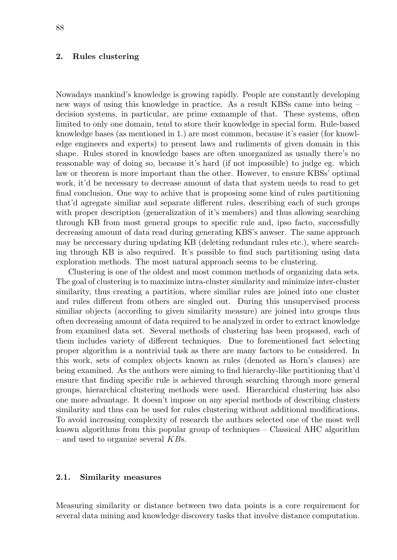#### 2. Rules clustering

Nowadays mankind's knowledge is growing rapidly. People are constantly developing new ways of using this knowledge in practice. As a result KBSs came into being – decision systems, in particular, are prime exmample of that. These systems, often limited to only one domain, tend to store their knowledge in special form. Rule-based knowledge bases (as mentioned in 1.) are most common, because it's easier (for knowledge engineers and experts) to present laws and rudiments of given domain in this shape. Rules stored in knowledge bases are often unorganized as usually there's no reasonable way of doing so, because it's hard (if not impossible) to judge eg. which law or theorem is more important than the other. However, to ensure KBSs' optimal work, it'd be necessary to decrease amount of data that system needs to read to get final conclusion. One way to achive that is proposing some kind of rules partitioning that'd agregate similiar and separate different rules, describing each of such groups with proper description (generalization of it's members) and thus allowing searching through KB from most general groups to specific rule and, ipso facto, successfully decreasing amount of data read during generating KBS's anwser. The same approach may be neccessary during updating KB (deleting redundant rules etc.), where searching through KB is also required. It's possible to find such partitioning using data exploration methods. The most natural approach seems to be clustering.

Clustering is one of the oldest and most common methods of organizing data sets. The goal of clustering is to maximize intra-cluster similarity and minimize inter-cluster similarity, thus creating a partition, where similiar rules are joined into one cluster and rules different from others are singled out. During this unsupervised process similiar objects (according to given similarity measure) are joined into groups thus often decreasing amount of data required to be analyzed in order to extract knowledge from examined data set. Several methods of clustering has been proposed, each of them includes variety of different techniques. Due to forementioned fact selecting proper algorithm is a nontrivial task as there are many factors to be considered. In this work, sets of complex objects known as rules (denoted as Horn's clauses) are being examined. As the authors were aiming to find hierarchy-like partitioning that'd ensure that finding specific rule is achieved through searching through more general groups, hierarchical clustering methods were used. Hierarchical clustering has also one more advantage. It doesn't impose on any special methods of describing clusters similarity and thus can be used for rules clustering without additional modifications. To avoid increasing complexity of research the authors selected one of the most well known algorithms from this popular group of techniques – Classical AHC algorithm – and used to organize several  $KBs$ .

## 2.1. Similarity measures

Measuring similarity or distance between two data points is a core requirement for several data mining and knowledge discovery tasks that involve distance computation.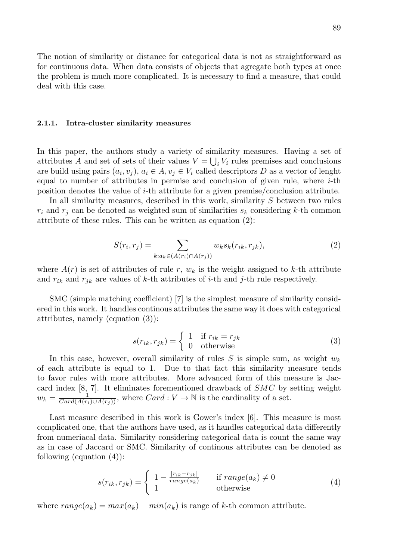The notion of similarity or distance for categorical data is not as straightforward as for continuous data. When data consists of objects that agregate both types at once the problem is much more complicated. It is necessary to find a measure, that could deal with this case.

#### 2.1.1. Intra-cluster similarity measures

In this paper, the authors study a variety of similarity measures. Having a set of attributes A and set of sets of their values  $V = \bigcup_i V_i$  rules premises and conclusions are build using pairs  $(a_i, v_j)$ ,  $a_i \in A$ ,  $v_j \in V_i$  called descriptors D as a vector of lenght equal to number of attributes in permise and conclusion of given rule, where  $i$ -th position denotes the value of i-th attribute for a given premise/conclusion attribute.

In all similarity measures, described in this work, similarity  $S$  between two rules  $r_i$  and  $r_j$  can be denoted as weighted sum of similarities  $s_k$  considering k-th common attribute of these rules. This can be written as equation (2):

$$
S(r_i, r_j) = \sum_{k: a_k \in (A(r_i) \cap A(r_j))} w_k s_k(r_{ik}, r_{jk}), \qquad (2)
$$

where  $A(r)$  is set of attributes of rule r,  $w_k$  is the weight assigned to k-th attribute and  $r_{ik}$  and  $r_{jk}$  are values of k-th attributes of i-th and j-th rule respectively.

SMC (simple matching coefficient) [7] is the simplest measure of similarity considered in this work. It handles continous attributes the same way it does with categorical attributes, namely (equation (3)):

$$
s(r_{ik}, r_{jk}) = \begin{cases} 1 & \text{if } r_{ik} = r_{jk} \\ 0 & \text{otherwise} \end{cases}
$$
 (3)

In this case, however, overall similarity of rules S is simple sum, as weight  $w_k$ of each attribute is equal to 1. Due to that fact this similarity measure tends to favor rules with more attributes. More advanced form of this measure is Jaccard index  $[8, 7]$ . It eliminates forementioned drawback of  $SMC$  by setting weight  $w_k = \frac{1}{Card(A(r_i)\cup A(r_j))}$ , where  $Card: V \to \mathbb{N}$  is the cardinality of a set.

Last measure described in this work is Gower's index [6]. This measure is most complicated one, that the authors have used, as it handles categorical data differently from numeriacal data. Similarity considering categorical data is count the same way as in case of Jaccard or SMC. Similarity of continous attributes can be denoted as following (equation (4)):

$$
s(r_{ik}, r_{jk}) = \begin{cases} 1 - \frac{|r_{ik} - r_{jk}|}{range(a_k)} & \text{if } range(a_k) \neq 0\\ 1 & \text{otherwise} \end{cases}
$$
(4)

where  $range(a_k) = max(a_k) - min(a_k)$  is range of k-th common attribute.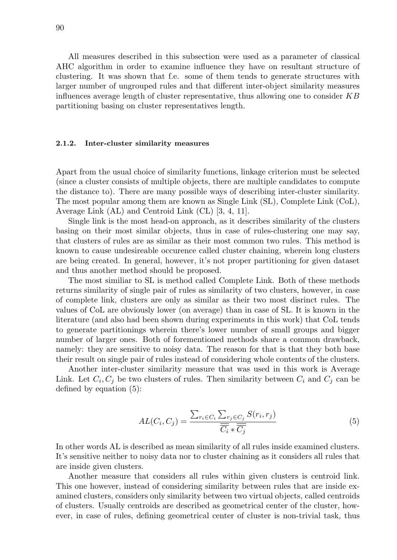All measures described in this subsection were used as a parameter of classical AHC algorithm in order to examine influence they have on resultant structure of clustering. It was shown that f.e. some of them tends to generate structures with larger number of ungrouped rules and that different inter-object similarity measures influences average length of cluster representative, thus allowing one to consider  $KB$ partitioning basing on cluster representatives length.

#### 2.1.2. Inter-cluster similarity measures

Apart from the usual choice of similarity functions, linkage criterion must be selected (since a cluster consists of multiple objects, there are multiple candidates to compute the distance to). There are many possible ways of describing inter-cluster similarity. The most popular among them are known as Single Link (SL), Complete Link (CoL), Average Link (AL) and Centroid Link (CL) [3, 4, 11].

Single link is the most head-on approach, as it describes similarity of the clusters basing on their most similar objects, thus in case of rules-clustering one may say, that clusters of rules are as similar as their most common two rules. This method is known to cause undesireable occurence called cluster chaining, wherein long clusters are being created. In general, however, it's not proper partitioning for given dataset and thus another method should be proposed.

The most similiar to SL is method called Complete Link. Both of these methods returns similarity of single pair of rules as similarity of two clusters, however, in case of complete link, clusters are only as similar as their two most disrinct rules. The values of CoL are obviously lower (on average) than in case of SL. It is known in the literature (and also had been shown during experiments in this work) that CoL tends to generate partitionings wherein there's lower number of small groups and bigger number of larger ones. Both of forementioned methods share a common drawback, namely: they are sensitive to noisy data. The reason for that is that they both base their result on single pair of rules instead of considering whole contents of the clusters.

Another inter-cluster similarity measure that was used in this work is Average Link. Let  $C_i$ ,  $C_j$  be two clusters of rules. Then similarity between  $C_i$  and  $C_j$  can be defined by equation (5):

$$
AL(C_i, C_j) = \frac{\sum_{r_i \in C_i} \sum_{r_j \in C_j} S(r_i, r_j)}{\overline{\overline{C_i}} * \overline{\overline{C_j}}} \tag{5}
$$

In other words AL is described as mean similarity of all rules inside examined clusters. It's sensitive neither to noisy data nor to cluster chaining as it considers all rules that are inside given clusters.

Another measure that considers all rules within given clusters is centroid link. This one however, instead of considering similarity between rules that are inside examined clusters, considers only similarity between two virtual objects, called centroids of clusters. Usually centroids are described as geometrical center of the cluster, however, in case of rules, defining geometrical center of cluster is non-trivial task, thus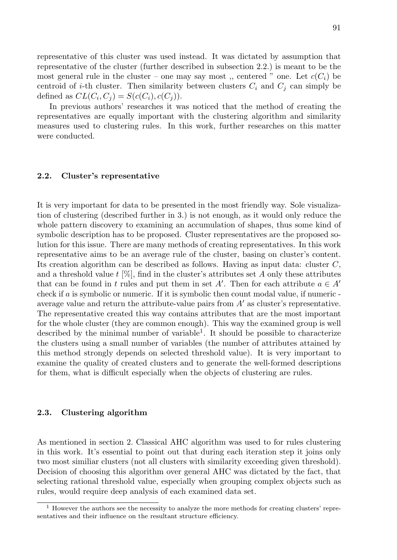representative of this cluster was used instead. It was dictated by assumption that representative of the cluster (further described in subsection 2.2.) is meant to be the most general rule in the cluster – one may say most, centered " one. Let  $c(C_i)$  be centroid of *i*-th cluster. Then similarity between clusters  $C_i$  and  $C_j$  can simply be defined as  $CL(C_i, C_j) = S(c(C_i), c(C_j)).$ 

In previous authors' researches it was noticed that the method of creating the representatives are equally important with the clustering algorithm and similarity measures used to clustering rules. In this work, further researches on this matter were conducted.

#### 2.2. Cluster's representative

It is very important for data to be presented in the most friendly way. Sole visualization of clustering (described further in 3.) is not enough, as it would only reduce the whole pattern discovery to examining an accumulation of shapes, thus some kind of symbolic description has to be proposed. Cluster representatives are the proposed solution for this issue. There are many methods of creating representatives. In this work representative aims to be an average rule of the cluster, basing on cluster's content. Its creation algorithm can be described as follows. Having as input data: cluster  $C$ , and a threshold value  $t$  [%], find in the cluster's attributes set A only these attributes that can be found in t rules and put them in set A'. Then for each attribute  $a \in A'$ check if  $\alpha$  is symbolic or numeric. If it is symbolic then count modal value, if numeric average value and return the attribute-value pairs from  $A'$  as cluster's representative. The representative created this way contains attributes that are the most important for the whole cluster (they are common enough). This way the examined group is well described by the minimal number of variable<sup>1</sup>. It should be possible to characterize the clusters using a small number of variables (the number of attributes attained by this method strongly depends on selected threshold value). It is very important to examine the quality of created clusters and to generate the well-formed descriptions for them, what is difficult especially when the objects of clustering are rules.

#### 2.3. Clustering algorithm

As mentioned in section 2. Classical AHC algorithm was used to for rules clustering in this work. It's essential to point out that during each iteration step it joins only two most similiar clusters (not all clusters with similarity exceeding given threshold). Decision of choosing this algorithm over general AHC was dictated by the fact, that selecting rational threshold value, especially when grouping complex objects such as rules, would require deep analysis of each examined data set.

<sup>&</sup>lt;sup>1</sup> However the authors see the necessity to analyze the more methods for creating clusters' representatives and their influence on the resultant structure efficiency.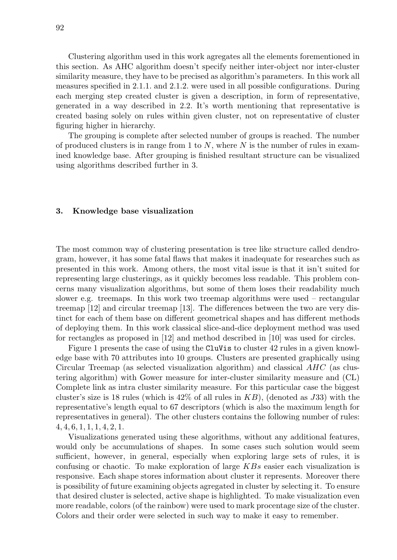Clustering algorithm used in this work agregates all the elements forementioned in this section. As AHC algorithm doesn't specify neither inter-object nor inter-cluster similarity measure, they have to be precised as algorithm's parameters. In this work all measures specified in 2.1.1. and 2.1.2. were used in all possible configurations. During each merging step created cluster is given a description, in form of representative, generated in a way described in 2.2. It's worth mentioning that representative is created basing solely on rules within given cluster, not on representative of cluster figuring higher in hierarchy.

The grouping is complete after selected number of groups is reached. The number of produced clusters is in range from 1 to  $N$ , where  $N$  is the number of rules in examined knowledge base. After grouping is finished resultant structure can be visualized using algorithms described further in 3.

#### 3. Knowledge base visualization

The most common way of clustering presentation is tree like structure called dendrogram, however, it has some fatal flaws that makes it inadequate for researches such as presented in this work. Among others, the most vital issue is that it isn't suited for representing large clusterings, as it quickly becomes less readable. This problem concerns many visualization algorithms, but some of them loses their readability much slower e.g. treemaps. In this work two treemap algorithms were used – rectangular treemap [12] and circular treemap [13]. The differences between the two are very distinct for each of them base on different geometrical shapes and has different methods of deploying them. In this work classical slice-and-dice deployment method was used for rectangles as proposed in [12] and method described in [10] was used for circles.

Figure 1 presents the case of using the CluVis to cluster 42 rules in a given knowledge base with 70 attributes into 10 groups. Clusters are presented graphically using Circular Treemap (as selected visualization algorithm) and classical AHC (as clustering algorithm) with Gower measure for inter-cluster similarity measure and (CL) Complete link as intra cluster similarity measure. For this particular case the biggest cluster's size is 18 rules (which is  $42\%$  of all rules in  $KB$ ), (denoted as J33) with the representative's length equal to 67 descriptors (which is also the maximum length for representatives in general). The other clusters contains the following number of rules: 4, 4, 6, 1, 1, 1, 4, 2, 1.

Visualizations generated using these algorithms, without any additional features, would only be accumulations of shapes. In some cases such solution would seem sufficient, however, in general, especially when exploring large sets of rules, it is confusing or chaotic. To make exploration of large KBs easier each visualization is responsive. Each shape stores information about cluster it represents. Moreover there is possibility of future examining objects agregated in cluster by selecting it. To ensure that desired cluster is selected, active shape is highlighted. To make visualization even more readable, colors (of the rainbow) were used to mark procentage size of the cluster. Colors and their order were selected in such way to make it easy to remember.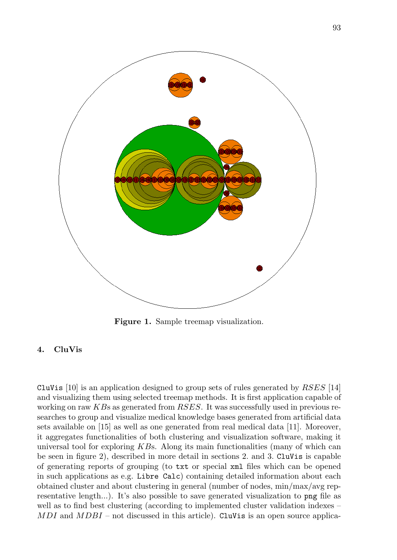

Figure 1. Sample treemap visualization.

## 4. CluVis

CluVis [10] is an application designed to group sets of rules generated by  $RSES$  [14] and visualizing them using selected treemap methods. It is first application capable of working on raw  $KBs$  as generated from  $RSES$ . It was successfully used in previous researches to group and visualize medical knowledge bases generated from artificial data sets available on [15] as well as one generated from real medical data [11]. Moreover, it aggregates functionalities of both clustering and visualization software, making it universal tool for exploring  $KBs$ . Along its main functionalities (many of which can be seen in figure 2), described in more detail in sections 2. and 3. CluVis is capable of generating reports of grouping (to txt or special xml files which can be opened in such applications as e.g. Libre Calc) containing detailed information about each obtained cluster and about clustering in general (number of nodes, min/max/avg representative length...). It's also possible to save generated visualization to png file as well as to find best clustering (according to implemented cluster validation indexes –  $MDI$  and  $MDBI$  – not discussed in this article). CluVis is an open source applica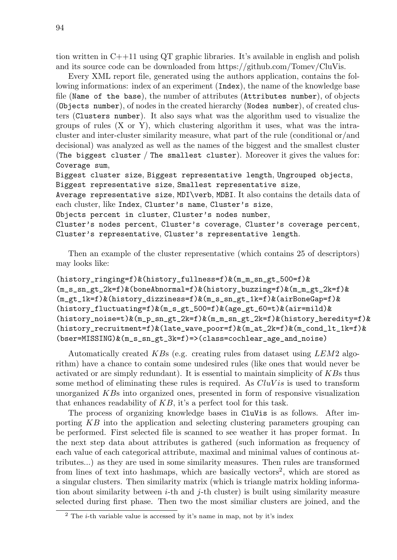tion written in C++11 using QT graphic libraries. It's available in english and polish and its source code can be downloaded from https://github.com/Tomev/CluVis.

Every XML report file, generated using the authors application, contains the following informations: index of an experiment (Index), the name of the knowledge base file (Name of the base), the number of attributes (Attributes number), of objects (Objects number), of nodes in the created hierarchy (Nodes number), of created clusters (Clusters number). It also says what was the algorithm used to visualize the groups of rules  $(X \text{ or } Y)$ , which clustering algorithm it uses, what was the intracluster and inter-cluster similarity measure, what part of the rule (conditional or/and decisional) was analyzed as well as the names of the biggest and the smallest cluster (The biggest cluster / The smallest cluster). Moreover it gives the values for: Coverage sum,

Biggest cluster size, Biggest representative length, Ungrouped objects, Biggest representative size, Smallest representative size, Average representative size, MDI\verb, MDBI. It also contains the details data of

each cluster, like Index, Cluster's name, Cluster's size,

Objects percent in cluster, Cluster's nodes number,

Cluster's nodes percent, Cluster's coverage, Cluster's coverage percent, Cluster's representative, Cluster's representative length.

Then an example of the cluster representative (which contains 25 of descriptors) may looks like:

(history\_ringing=f)&(history\_fullness=f)&(m\_m\_sn\_gt\_500=f)& (m\_s\_sn\_gt\_2k=f)&(boneAbnormal=f)&(history\_buzzing=f)&(m\_m\_gt\_2k=f)& (m\_gt\_1k=f)&(history\_dizziness=f)&(m\_s\_sn\_gt\_1k=f)&(airBoneGap=f)&  $(history_fluctuating=f)$ & $(m_s_g_t_500=f)$ & $(age_g_t_60=t)$ & $air=midd)$ &  $(history\_noise=t)$ & $(m_p_{sn\_gt\_2k=f})$ & $(m_m_{sn\_gt\_2k=f})$ & $(history\_heredity=f)$ & (history\_recruitment=f)&(late\_wave\_poor=f)&(m\_at\_2k=f)&(m\_cond\_lt\_1k=f)& (bser=MISSING)&(m\_s\_sn\_gt\_3k=f)=>(class=cochlear\_age\_and\_noise)

Automatically created KBs (e.g. creating rules from dataset using  $LEM2$  algorithm) have a chance to contain some undesired rules (like ones that would never be activated or are simply redundant). It is essential to maintain simplicity of KBs thus some method of eliminating these rules is required. As  $CluVis$  is used to transform unorganized KBs into organized ones, presented in form of responsive visualization that enhances readability of  $KB$ , it's a perfect tool for this task.

The process of organizing knowledge bases in CluVis is as follows. After importing KB into the application and selecting clustering parameters grouping can be performed. First selected file is scanned to see weather it has proper format. In the next step data about attributes is gathered (such information as frequency of each value of each categorical attribute, maximal and minimal values of continous attributes...) as they are used in some similarity measures. Then rules are transformed from lines of text into hashmaps, which are basically vectors<sup>2</sup>, which are stored as a singular clusters. Then similarity matrix (which is triangle matrix holding information about similarity between  $i$ -th and  $j$ -th cluster) is built using similarity measure selected during first phase. Then two the most similiar clusters are joined, and the

 $2$  The *i*-th variable value is accessed by it's name in map, not by it's index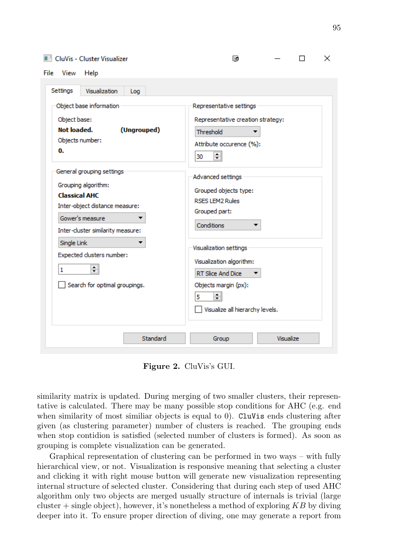#### **CluVis - Cluster Visualizer**

| Visualization<br>Settings<br>Log                                                                                                                                   |                                                                                                                                              |  |  |
|--------------------------------------------------------------------------------------------------------------------------------------------------------------------|----------------------------------------------------------------------------------------------------------------------------------------------|--|--|
| Object base information<br>Object base:<br>Not loaded.<br>(Ungrouped)<br>Objects number:<br>0.                                                                     | Representative settings<br>Representative creation strategy:<br>Threshold<br>Attribute occurence (%):<br>≑<br>30                             |  |  |
| General grouping settings<br>Grouping algorithm:<br><b>Classical AHC</b><br>Inter-object distance measure:<br>Gower's measure<br>Inter-cluster similarity measure: | Advanced settings<br>Grouped objects type:<br><b>RSES LEM2 Rules</b><br>Grouped part:<br>Conditions                                          |  |  |
| Single Link<br>Expected clusters number:<br>≑<br>1<br>Search for optimal groupings.                                                                                | Visualization settings<br>Visualization algorithm:<br>RT Slice And Dice<br>Objects margin (px):<br>쉐<br>5<br>Visualize all hierarchy levels. |  |  |

Figure 2. CluVis's GUI.

similarity matrix is updated. During merging of two smaller clusters, their representative is calculated. There may be many possible stop conditions for AHC (e.g. end when similarity of most similiar objects is equal to 0). CluVis ends clustering after given (as clustering parameter) number of clusters is reached. The grouping ends when stop contidion is satisfied (selected number of clusters is formed). As soon as grouping is complete visualization can be generated.

Graphical representation of clustering can be performed in two ways – with fully hierarchical view, or not. Visualization is responsive meaning that selecting a cluster and clicking it with right mouse button will generate new visualization representing internal structure of selected cluster. Considering that during each step of used AHC algorithm only two objects are merged usually structure of internals is trivial (large cluster  $+$  single object), however, it's nonetheless a method of exploring  $KB$  by diving deeper into it. To ensure proper direction of diving, one may generate a report from

X

 $\Box$ 

 $\overline{\mathbb{R}}$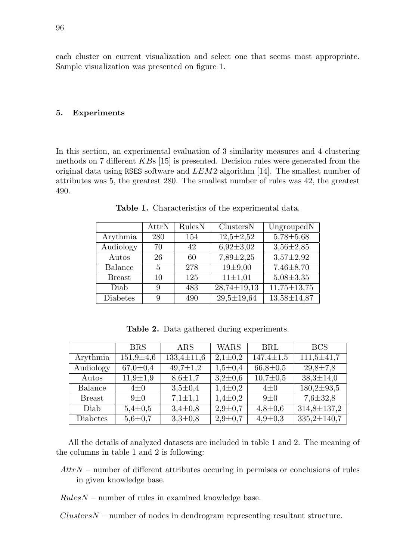each cluster on current visualization and select one that seems most appropriate. Sample visualization was presented on figure 1.

### 5. Experiments

In this section, an experimental evaluation of 3 similarity measures and 4 clustering methods on 7 different KBs [15] is presented. Decision rules were generated from the original data using RSES software and  $LEM2$  algorithm [14]. The smallest number of attributes was 5, the greatest 280. The smallest number of rules was 42, the greatest 490.

|               | AttrN | RulesN | ClustersN         | UngroupedN        |
|---------------|-------|--------|-------------------|-------------------|
| Arythmia      | 280   | 154    | $12,5 \pm 2,52$   | $5,78 \pm 5,68$   |
| Audiology     | 70    | 42     | $6,92 \pm 3,02$   | $3,56 \pm 2,85$   |
| Autos         | 26    | 60     | $7,89 \pm 2,25$   | $3,57 \pm 2,92$   |
| Balance       | 5     | 278    | $19+9,00$         | $7,46\pm8,70$     |
| <b>Breast</b> | 10    | 125    | $11 \pm 1,01$     | $5,08 \pm 3,35$   |
| Diab          | 9     | 483    | $28,74 \pm 19,13$ | $11,75 \pm 13,75$ |
| Diabetes      | 9     | 490    | $29,5 \pm 19,64$  | $13,58 \pm 14,87$ |

Table 1. Characteristics of the experimental data.

Table 2. Data gathered during experiments.

|               | <b>BRS</b>      | ARS              | WARS          | <b>BRL</b>      | <b>BCS</b>        |
|---------------|-----------------|------------------|---------------|-----------------|-------------------|
| Arythmia      | $151,9 \pm 4,6$ | $133,4 \pm 11,6$ | $2,1 \pm 0,2$ | $147,4 \pm 1,5$ | $111,5 \pm 41,7$  |
| Audiology     | $67,0 \pm 0.4$  | $49,7 \pm 1,2$   | $1,5 \pm 0.4$ | $66,8 \pm 0.5$  | $29,8 \pm 7,8$    |
| Autos         | $11,9 \pm 1,9$  | $8.6{\pm}1.7$    | $3,2{\pm}0,6$ | $10,7 \pm 0.5$  | $38,3 \pm 14,0$   |
| Balance       | $4\pm0$         | $3,5 \pm 0.4$    | $1,4 \pm 0,2$ | $4\pm0$         | $180,2 \pm 93,5$  |
| <b>Breast</b> | $9+0$           | $7,1 \pm 1,1$    | $1,4 \pm 0,2$ | $9\pm0$         | $7,6 \pm 32,8$    |
| Diab          | $5,4 \pm 0.5$   | $3,4 \pm 0,8$    | $2,9 \pm 0.7$ | $4,8 \pm 0,6$   | 314,8±137,2       |
| Diabetes      | $5,6 \pm 0.7$   | $3,3{\pm}0,8$    | $2,9 \pm 0.7$ | $4,9 \pm 0,3$   | $335,2 \pm 140,7$ |

All the details of analyzed datasets are included in table 1 and 2. The meaning of the columns in table 1 and 2 is following:

- $AttrN$  number of different attributes occuring in permises or conclusions of rules in given knowledge base.
- $RulesN$  number of rules in examined knowledge base.

 $ClustersN$  – number of nodes in dendrogram representing resultant structure.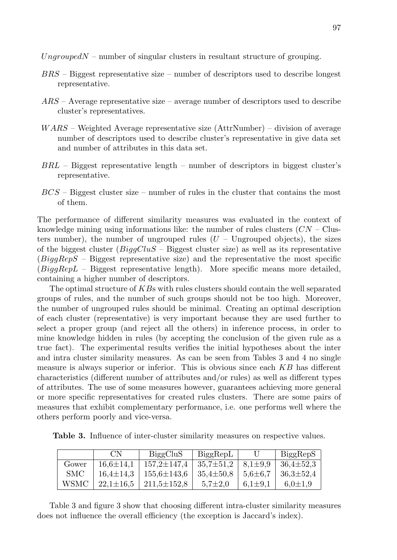Ungrouped $N$  – number of singular clusters in resultant structure of grouping.

- $BRS$  Biggest representative size number of descriptors used to describe longest representative.
- $ARS Average$  representative size average number of descriptors used to describe cluster's representatives.
- $WARS Weiehteed Average representative size (AttrNumber) division of average$ number of descriptors used to describe cluster's representative in give data set and number of attributes in this data set.
- $BRL$  Biggest representative length number of descriptors in biggest cluster's representative.
- $BCS$  Biggest cluster size number of rules in the cluster that contains the most of them.

The performance of different similarity measures was evaluated in the context of knowledge mining using informations like: the number of rules clusters  $(CN - Clus$ ters number), the number of ungrouped rules  $(U -$  Ungrouped objects), the sizes of the biggest cluster  $(Bi)QluS - Biggest$  cluster size) as well as its representative  $(BiqaRepS - Biggest representative size)$  and the representative the most specific  $(BiqaRepL - Biggest$  representative length). More specific means more detailed, containing a higher number of descriptors.

The optimal structure of KBs with rules clusters should contain the well separated groups of rules, and the number of such groups should not be too high. Moreover, the number of ungrouped rules should be minimal. Creating an optimal description of each cluster (representative) is very important because they are used further to select a proper group (and reject all the others) in inference process, in order to mine knowledge hidden in rules (by accepting the conclusion of the given rule as a true fact). The experimental results verifies the initial hypotheses about the inter and intra cluster similarity measures. As can be seen from Tables 3 and 4 no single measure is always superior or inferior. This is obvious since each  $KB$  has different characteristics (different number of attributes and/or rules) as well as different types of attributes. The use of some measures however, guarantees achieving more general or more specific representatives for created rules clusters. There are some pairs of measures that exhibit complementary performance, i.e. one performs well where the others perform poorly and vice-versa.

Table 3. Influence of inter-cluster similarity measures on respective values.

|        | CN              | BiggCluS          | BigRepL         |               | BiggRepS        |
|--------|-----------------|-------------------|-----------------|---------------|-----------------|
| Gower  | $16.6 \pm 14.1$ | $157.2 \pm 147.4$ | $35.7 \pm 51.2$ | $8.1 \pm 9.9$ | $36.4 \pm 52.3$ |
| SMC    | $16.4 \pm 14.3$ | $155.6 \pm 143.6$ | $35.4 \pm 50.8$ | $5.6 \pm 6.7$ | $36.3 \pm 52.4$ |
| WSMC - | $22.1 \pm 16.5$ | $211.5 \pm 152.8$ | $5.7 \pm 2.0$   | $6.1 \pm 9.1$ | $6.0 \pm 1.9$   |

Table 3 and figure 3 show that choosing different intra-cluster similarity measures does not influence the overall efficiency (the exception is Jaccard's index).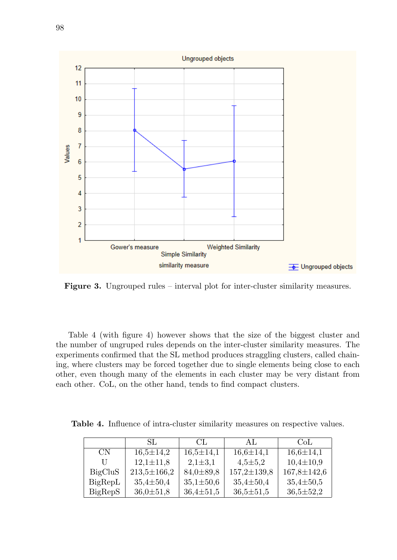

Figure 3. Ungrouped rules – interval plot for inter-cluster similarity measures.

Table 4 (with figure 4) however shows that the size of the biggest cluster and the number of ungruped rules depends on the inter-cluster similarity measures. The experiments confirmed that the SL method produces straggling clusters, called chaining, where clusters may be forced together due to single elements being close to each other, even though many of the elements in each cluster may be very distant from each other. CoL, on the other hand, tends to find compact clusters.

Table 4. Influence of intra-cluster similarity measures on respective values.

|           | SL.               | CL.             | AL.               | CoL               |
|-----------|-------------------|-----------------|-------------------|-------------------|
| <b>CN</b> | $16.5 \pm 14.2$   | $16.5 \pm 14.1$ | $16.6 \pm 14.1$   | $16.6 \pm 14.1$   |
| U         | $12,1 \pm 11,8$   | $2,1 \pm 3,1$   | $4,5 \pm 5,2$     | $10,4 \pm 10,9$   |
| BigCluS   | $213,5 \pm 166,2$ | $84,0 \pm 89,8$ | $157,2 \pm 139,8$ | $167,8 \pm 142,6$ |
| BigRepL   | $35.4 \pm 50.4$   | $35,1 \pm 50,6$ | $35.4 \pm 50.4$   | $35.4 \pm 50.5$   |
| BigRepS   | $36,0 \pm 51,8$   | $36.4 \pm 51.5$ | $36,5 \pm 51,5$   | $36,5 \pm 52,2$   |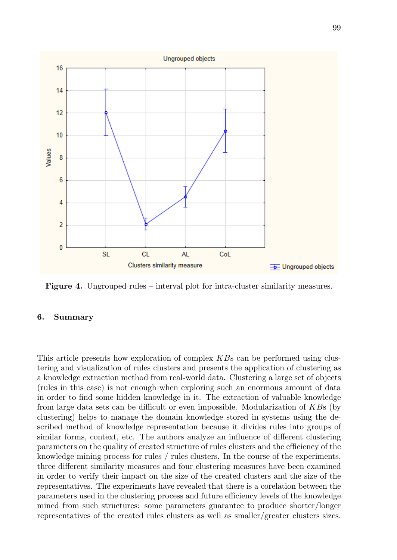

Figure 4. Ungrouped rules – interval plot for intra-cluster similarity measures.

## 6. Summary

This article presents how exploration of complex KBs can be performed using clustering and visualization of rules clusters and presents the application of clustering as a knowledge extraction method from real-world data. Clustering a large set of objects (rules in this case) is not enough when exploring such an enormous amount of data in order to find some hidden knowledge in it. The extraction of valuable knowledge from large data sets can be difficult or even impossible. Modularization of KBs (by clustering) helps to manage the domain knowledge stored in systems using the described method of knowledge representation because it divides rules into groups of similar forms, context, etc. The authors analyze an influence of different clustering parameters on the quality of created structure of rules clusters and the efficiency of the knowledge mining process for rules / rules clusters. In the course of the experiments, three different similarity measures and four clustering measures have been examined in order to verify their impact on the size of the created clusters and the size of the representatives. The experiments have revealed that there is a corelation between the parameters used in the clustering process and future efficiency levels of the knowledge mined from such structures: some parameters guarantee to produce shorter/longer representatives of the created rules clusters as well as smaller/greater clusters sizes.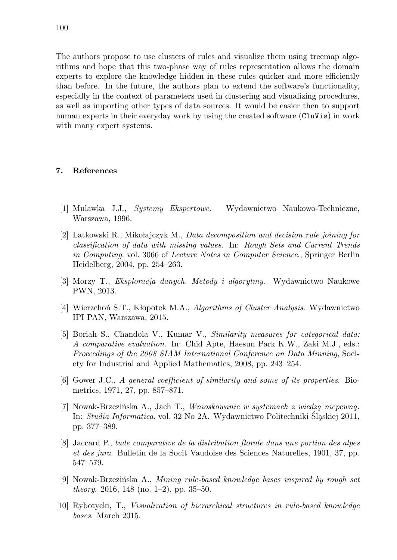The authors propose to use clusters of rules and visualize them using treemap algorithms and hope that this two-phase way of rules representation allows the domain experts to explore the knowledge hidden in these rules quicker and more efficiently than before. In the future, the authors plan to extend the software's functionality, especially in the context of parameters used in clustering and visualizing procedures, as well as importing other types of data sources. It would be easier then to support human experts in their everyday work by using the created software (CluVis) in work with many expert systems.

## 7. References

- [1] Mulawka J.J., Systemy Ekspertowe. Wydawnictwo Naukowo-Techniczne, Warszawa, 1996.
- [2] Latkowski R., Mikołajczyk M., Data decomposition and decision rule joining for classification of data with missing values. In: Rough Sets and Current Trends in Computing. vol. 3066 of Lecture Notes in Computer Science., Springer Berlin Heidelberg, 2004, pp. 254–263.
- [3] Morzy T., Eksploracja danych. Metody i algorytmy. Wydawnictwo Naukowe PWN, 2013.
- [4] Wierzchoń S.T., Kłopotek M.A., Algorithms of Cluster Analysis. Wydawnictwo IPI PAN, Warszawa, 2015.
- [5] Boriah S., Chandola V., Kumar V., Similarity measures for categorical data: A comparative evaluation. In: Chid Apte, Haesun Park K.W., Zaki M.J., eds.: Proceedings of the 2008 SIAM International Conference on Data Minning, Society for Industrial and Applied Mathematics, 2008, pp. 243–254.
- [6] Gower J.C., A general coefficient of similarity and some of its properties. Biometrics, 1971, 27, pp. 857–871.
- [7] Nowak-Brzezińska A., Jach T., Wnioskowanie w systemach z wiedzą niepewną. In: Studia Informatica. vol. 32 No 2A. Wydawnictwo Politechniki Sląskiej 2011, pp. 377–389.
- [8] Jaccard P., tude comparative de la distribution florale dans une portion des alpes et des jura. Bulletin de la Socit Vaudoise des Sciences Naturelles, 1901, 37, pp. 547–579.
- [9] Nowak-Brzezińska A., Mining rule-based knowledge bases inspired by rough set *theory.* 2016, 148 (no. 1–2), pp. 35–50.
- [10] Rybotycki, T., Visualization of hierarchical structures in rule-based knowledge bases. March 2015.